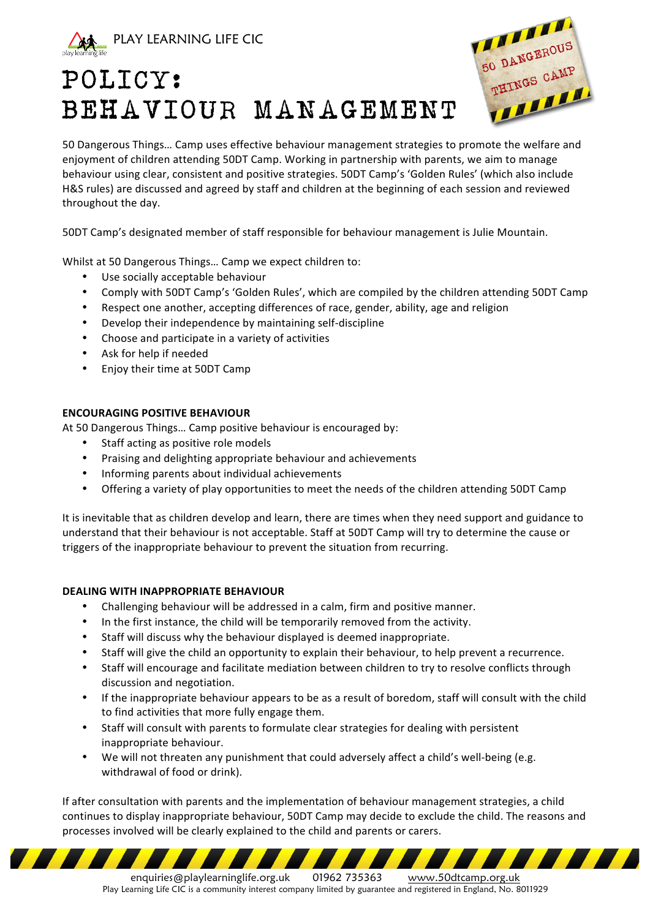

# POLICY: BEHAVIOUR MANAGEMENT



50 Dangerous Things... Camp uses effective behaviour management strategies to promote the welfare and enjoyment of children attending 50DT Camp. Working in partnership with parents, we aim to manage behaviour using clear, consistent and positive strategies. 50DT Camp's 'Golden Rules' (which also include H&S rules) are discussed and agreed by staff and children at the beginning of each session and reviewed throughout the day.

50DT Camp's designated member of staff responsible for behaviour management is Julie Mountain.

Whilst at 50 Dangerous Things... Camp we expect children to:

- Use socially acceptable behaviour
- Comply with 50DT Camp's 'Golden Rules', which are compiled by the children attending 50DT Camp
- Respect one another, accepting differences of race, gender, ability, age and religion
- Develop their independence by maintaining self-discipline
- Choose and participate in a variety of activities
- Ask for help if needed
- Enjoy their time at 50DT Camp

## **ENCOURAGING POSITIVE BEHAVIOUR**

At 50 Dangerous Things... Camp positive behaviour is encouraged by:

- Staff acting as positive role models
- Praising and delighting appropriate behaviour and achievements
- Informing parents about individual achievements
- Offering a variety of play opportunities to meet the needs of the children attending 50DT Camp

It is inevitable that as children develop and learn, there are times when they need support and guidance to understand that their behaviour is not acceptable. Staff at 50DT Camp will try to determine the cause or triggers of the inappropriate behaviour to prevent the situation from recurring.

## **DEALING WITH INAPPROPRIATE BEHAVIOUR**

- Challenging behaviour will be addressed in a calm, firm and positive manner.
- In the first instance, the child will be temporarily removed from the activity.
- Staff will discuss why the behaviour displayed is deemed inappropriate.
- Staff will give the child an opportunity to explain their behaviour, to help prevent a recurrence.
- Staff will encourage and facilitate mediation between children to try to resolve conflicts through discussion and negotiation.
- If the inappropriate behaviour appears to be as a result of boredom, staff will consult with the child to find activities that more fully engage them.
- Staff will consult with parents to formulate clear strategies for dealing with persistent inappropriate behaviour.
- We will not threaten any punishment that could adversely affect a child's well-being (e.g. withdrawal of food or drink).

If after consultation with parents and the implementation of behaviour management strategies, a child continues to display inappropriate behaviour, 50DT Camp may decide to exclude the child. The reasons and processes involved will be clearly explained to the child and parents or carers.

enquiries@playlearninglife.org.uk 01962 735363 www.50dtcamp.org.uk Play Learning Life CIC is a community interest company limited by guarantee and registered in England, No. 8011929